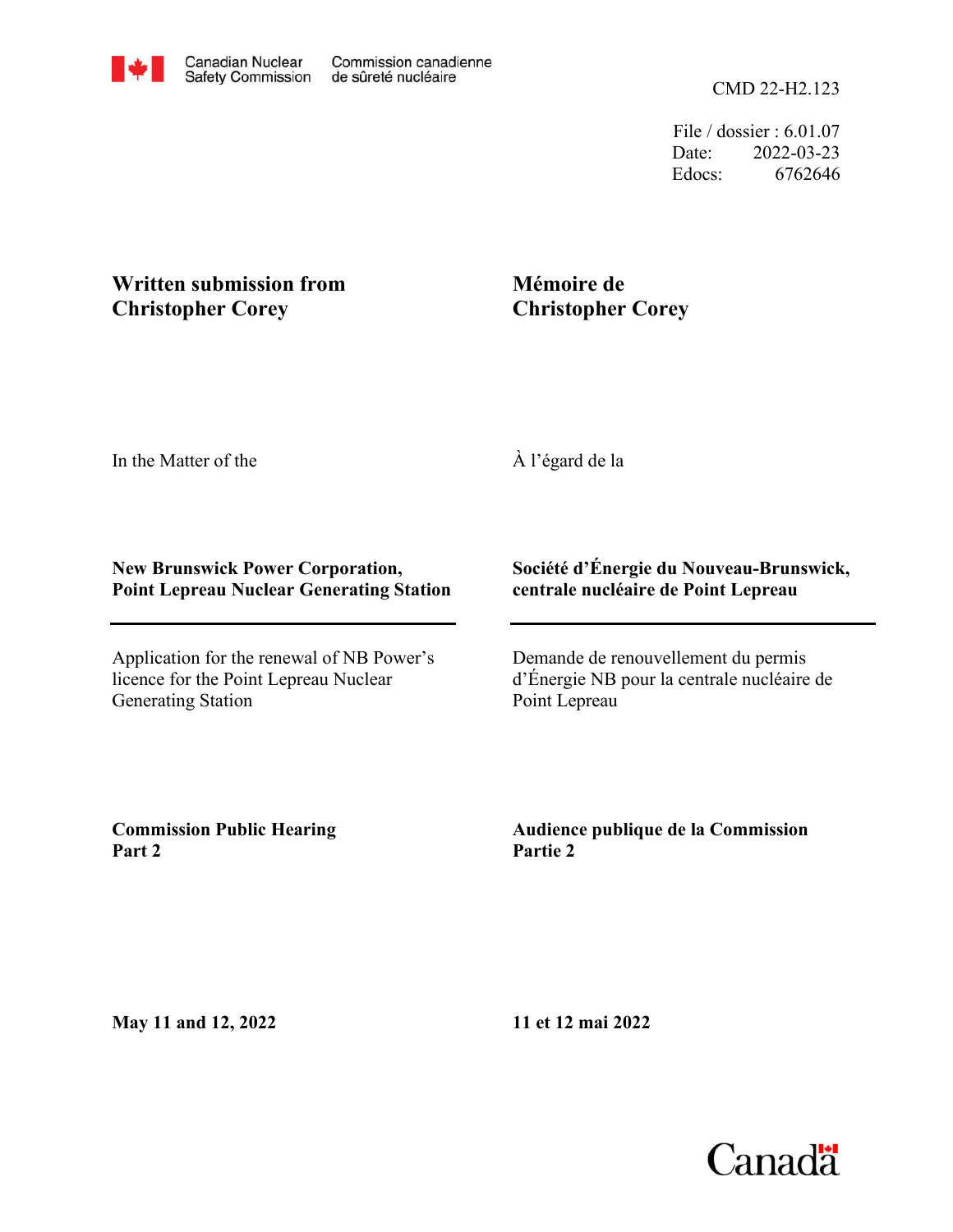File / dossier : 6.01.07 Date: 2022-03-23 Edocs: 6762646

# **Written submission from Christopher Corey**

# **Mémoire de Christopher Corey**

In the Matter of the

À l'égard de la

# **New Brunswick Power Corporation, Point Lepreau Nuclear Generating Station**

Application for the renewal of NB Power's licence for the Point Lepreau Nuclear Generating Station

# **Société d'Énergie du Nouveau-Brunswick, centrale nucléaire de Point Lepreau**

Demande de renouvellement du permis d'Énergie NB pour la centrale nucléaire de Point Lepreau

**Commission Public Hearing Part 2**

**Audience publique de la Commission Partie 2**

**May 11 and 12, 2022**

**11 et 12 mai 2022**

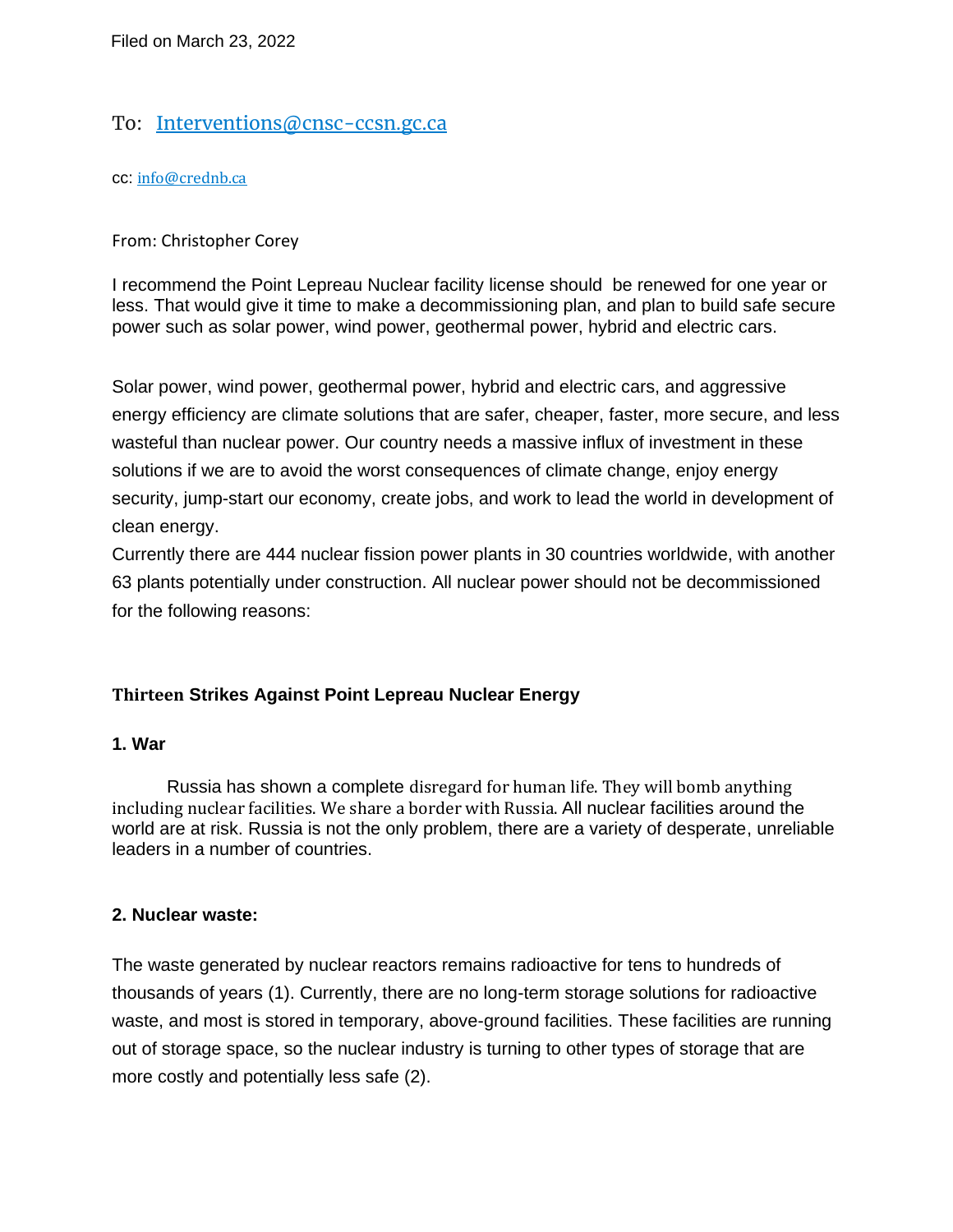# To: [Interventions@cnsc-ccsn.gc.ca](mailto:Interventions@cnsc-ccsn.gc.ca)

cc: [info@crednb.ca](mailto:Interventions@cnsc-ccsn.gc.ca)

#### From: Christopher Corey

I recommend the Point Lepreau Nuclear facility license should be renewed for one year or less. That would give it time to make a decommissioning plan, and plan to build safe secure power such as solar power, wind power, geothermal power, hybrid and electric cars.

Solar power, wind power, geothermal power, hybrid and electric cars, and aggressive energy efficiency are climate solutions that are safer, cheaper, faster, more secure, and less wasteful than nuclear power. Our country needs a massive influx of investment in these solutions if we are to avoid the worst consequences of climate change, enjoy energy security, jump-start our economy, create jobs, and work to lead the world in development of clean energy.

Currently there are 444 nuclear fission power plants in 30 countries worldwide, with another 63 plants potentially under construction. All nuclear power should not be decommissioned for the following reasons:

# **Thirteen Strikes Against Point Lepreau Nuclear Energy**

#### **1. War**

Russia has shown a complete disregard for human life. They will bomb anything including nuclear facilities. We share a border with Russia. All nuclear facilities around the world are at risk. Russia is not the only problem, there are a variety of desperate, unreliable leaders in a number of countries.

# **2. Nuclear waste:**

The waste generated by nuclear reactors remains radioactive for tens to hundreds of thousands of years (1). Currently, there are no long-term storage solutions for radioactive waste, and most is stored in temporary, above-ground facilities. These facilities are running out of storage space, so the nuclear industry is turning to other types of storage that are more costly and potentially less safe (2).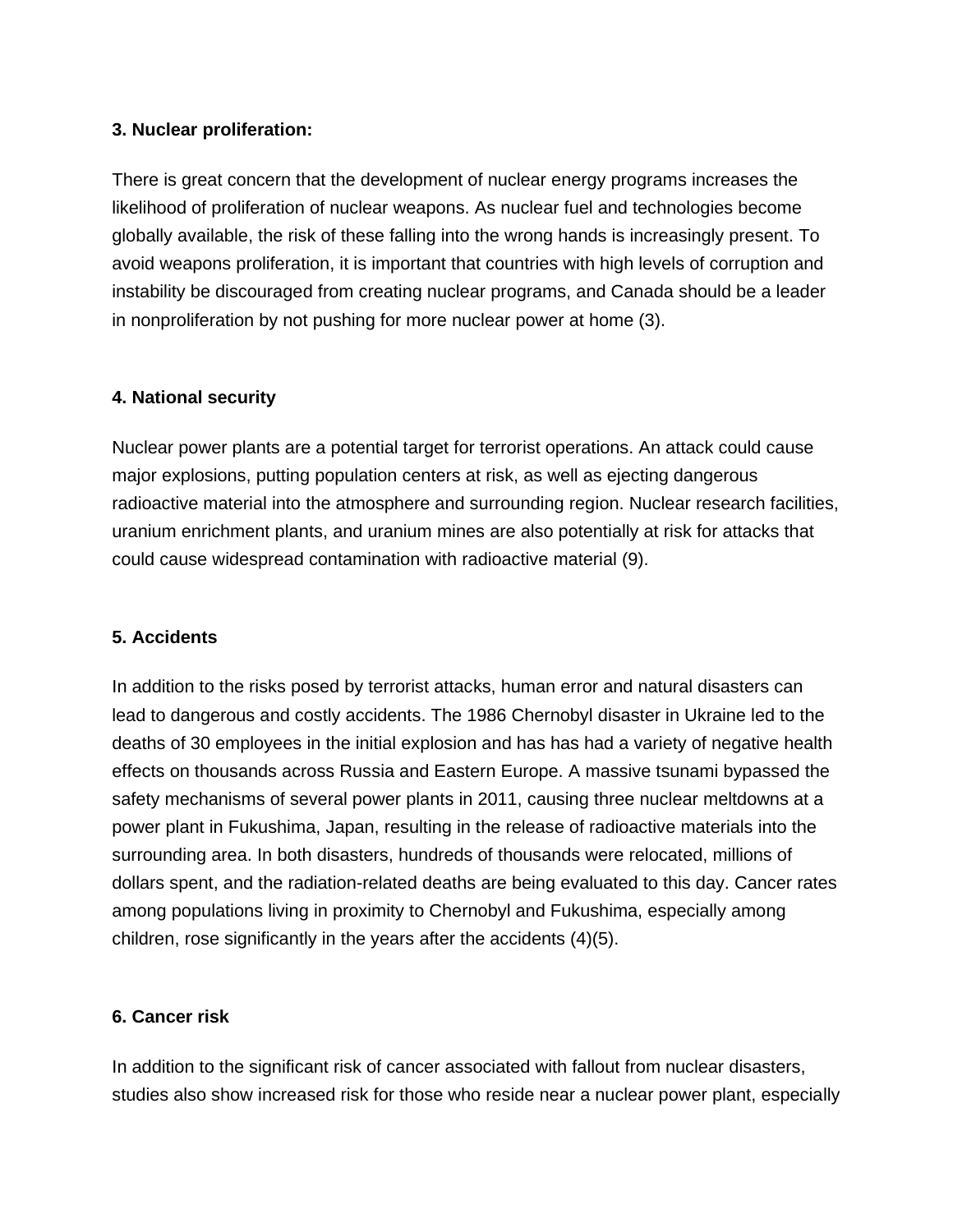#### **3. Nuclear proliferation:**

There is great concern that the development of nuclear energy programs increases the likelihood of proliferation of nuclear weapons. As nuclear fuel and technologies become globally available, the risk of these falling into the wrong hands is increasingly present. To avoid weapons proliferation, it is important that countries with high levels of corruption and instability be discouraged from creating nuclear programs, and Canada should be a leader in nonproliferation by not pushing for more nuclear power at home (3).

#### **4. National security**

Nuclear power plants are a potential target for terrorist operations. An attack could cause major explosions, putting population centers at risk, as well as ejecting dangerous radioactive material into the atmosphere and surrounding region. Nuclear research facilities, uranium enrichment plants, and uranium mines are also potentially at risk for attacks that could cause widespread contamination with radioactive material (9).

#### **5. Accidents**

In addition to the risks posed by terrorist attacks, human error and natural disasters can lead to dangerous and costly accidents. The 1986 Chernobyl disaster in Ukraine led to the deaths of 30 employees in the initial explosion and has has had a variety of negative health effects on thousands across Russia and Eastern Europe. A massive tsunami bypassed the safety mechanisms of several power plants in 2011, causing three nuclear meltdowns at a power plant in Fukushima, Japan, resulting in the release of radioactive materials into the surrounding area. In both disasters, hundreds of thousands were relocated, millions of dollars spent, and the radiation-related deaths are being evaluated to this day. Cancer rates among populations living in proximity to Chernobyl and Fukushima, especially among children, rose significantly in the years after the accidents (4)(5).

# **6. Cancer risk**

In addition to the significant risk of cancer associated with fallout from nuclear disasters, studies also show increased risk for those who reside near a nuclear power plant, especially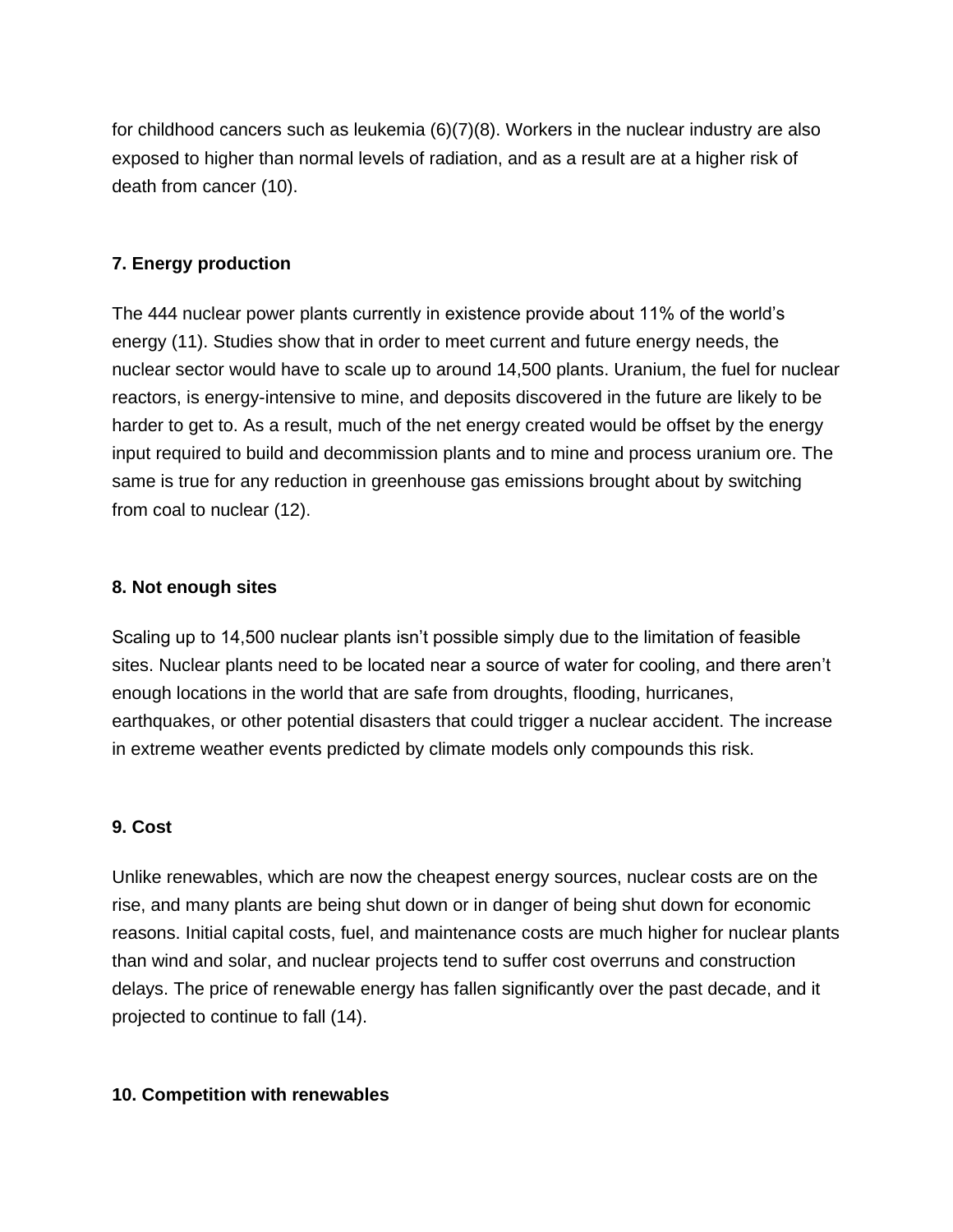for childhood cancers such as leukemia (6)(7)(8). Workers in the nuclear industry are also exposed to higher than normal levels of radiation, and as a result are at a higher risk of death from cancer (10).

#### **7. Energy production**

The 444 nuclear power plants currently in existence provide about 11% of the world's energy (11). Studies show that in order to meet current and future energy needs, the nuclear sector would have to scale up to around 14,500 plants. Uranium, the fuel for nuclear reactors, is energy-intensive to mine, and deposits discovered in the future are likely to be harder to get to. As a result, much of the net energy created would be offset by the energy input required to build and decommission plants and to mine and process uranium ore. The same is true for any reduction in greenhouse gas emissions brought about by switching from coal to nuclear (12).

#### **8. Not enough sites**

Scaling up to 14,500 nuclear plants isn't possible simply due to the limitation of feasible sites. Nuclear plants need to be located near a source of water for cooling, and there aren't enough locations in the world that are safe from droughts, flooding, hurricanes, earthquakes, or other potential disasters that could trigger a nuclear accident. The increase in extreme weather events predicted by climate models only compounds this risk.

# **9. Cost**

Unlike renewables, which are now the cheapest energy sources, nuclear costs are on the rise, and many plants are being shut down or in danger of being shut down for economic reasons. Initial capital costs, fuel, and maintenance costs are much higher for nuclear plants than wind and solar, and nuclear projects tend to suffer cost overruns and construction delays. The price of renewable energy has fallen significantly over the past decade, and it projected to continue to fall (14).

#### **10. Competition with renewables**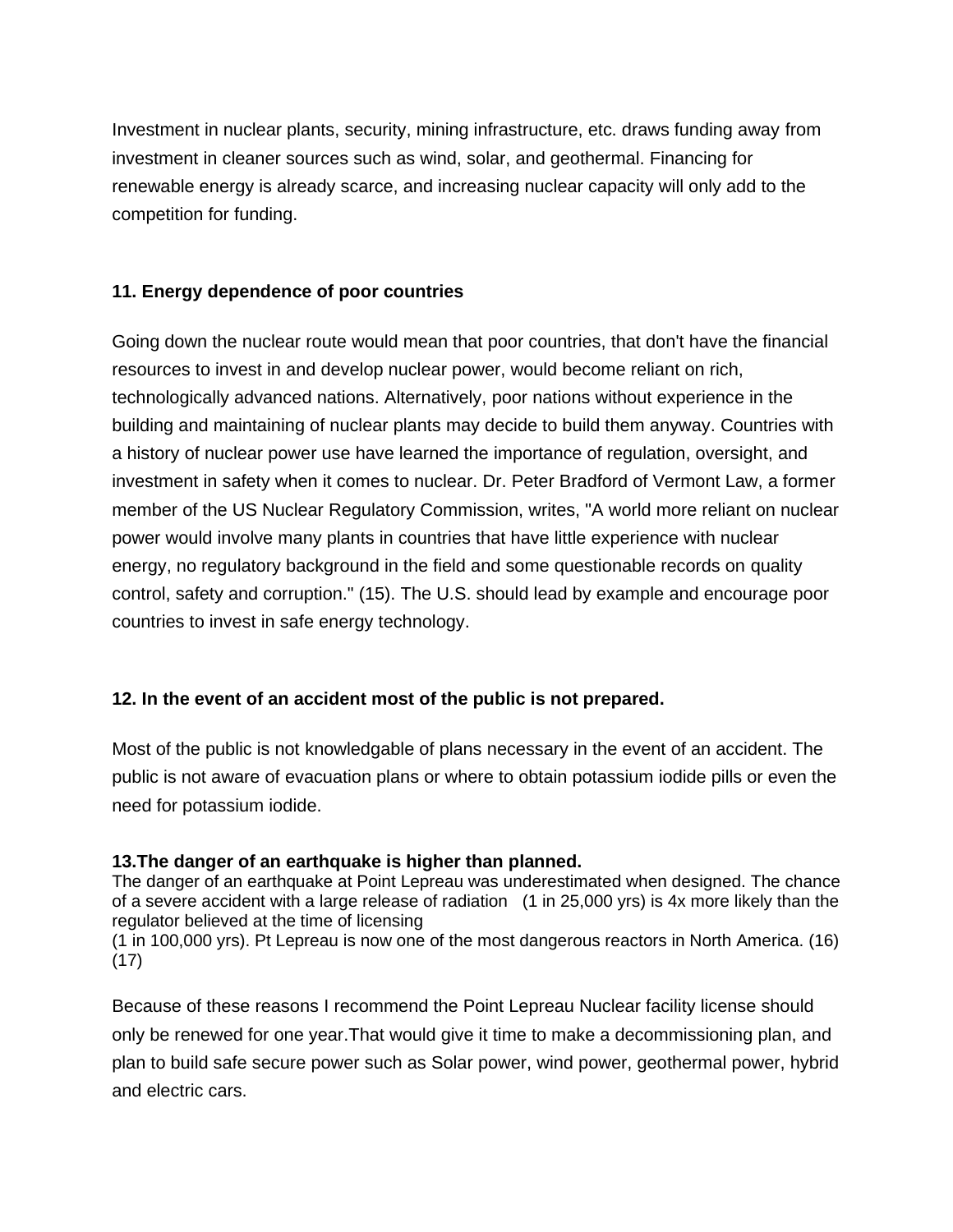Investment in nuclear plants, security, mining infrastructure, etc. draws funding away from investment in cleaner sources such as wind, solar, and geothermal. Financing for renewable energy is already scarce, and increasing nuclear capacity will only add to the competition for funding.

### **11. Energy dependence of poor countries**

Going down the nuclear route would mean that poor countries, that don't have the financial resources to invest in and develop nuclear power, would become reliant on rich, technologically advanced nations. Alternatively, poor nations without experience in the building and maintaining of nuclear plants may decide to build them anyway. Countries with a history of nuclear power use have learned the importance of regulation, oversight, and investment in safety when it comes to nuclear. Dr. Peter Bradford of Vermont Law, a former member of the US Nuclear Regulatory Commission, writes, "A world more reliant on nuclear power would involve many plants in countries that have little experience with nuclear energy, no regulatory background in the field and some questionable records on quality control, safety and corruption." (15). The U.S. should lead by example and encourage poor countries to invest in safe energy technology.

# **12. In the event of an accident most of the public is not prepared.**

Most of the public is not knowledgable of plans necessary in the event of an accident. The public is not aware of evacuation plans or where to obtain potassium iodide pills or even the need for potassium iodide.

#### **13.The danger of an earthquake is higher than planned.**

The danger of an earthquake at Point Lepreau was underestimated when designed. The chance of a severe accident with a large release of radiation (1 in 25,000 yrs) is 4x more likely than the regulator believed at the time of licensing

(1 in 100,000 yrs). Pt Lepreau is now one of the most dangerous reactors in North America. (16) (17)

Because of these reasons I recommend the Point Lepreau Nuclear facility license should only be renewed for one year.That would give it time to make a decommissioning plan, and plan to build safe secure power such as Solar power, wind power, geothermal power, hybrid and electric cars.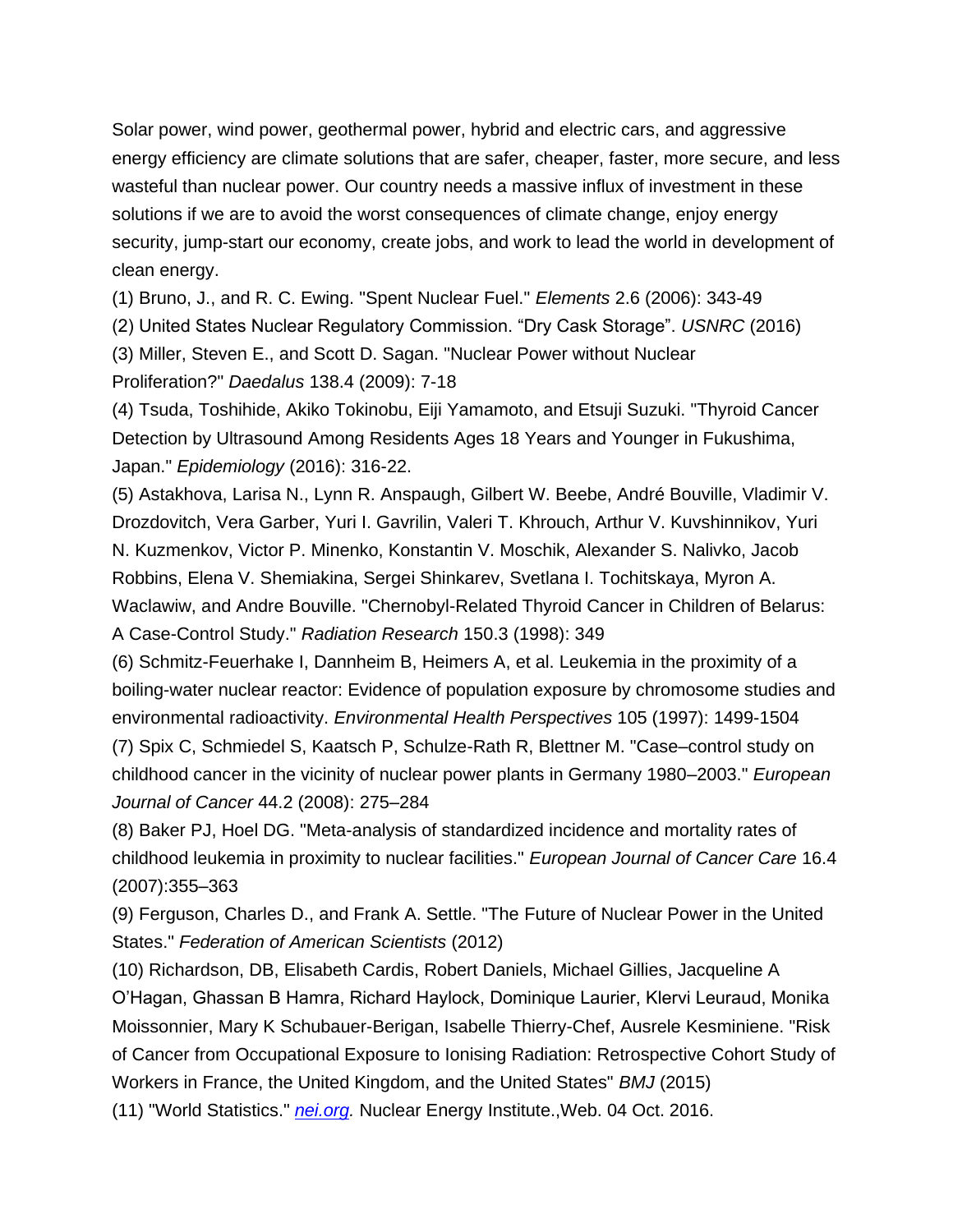Solar power, wind power, geothermal power, hybrid and electric cars, and aggressive energy efficiency are climate solutions that are safer, cheaper, faster, more secure, and less wasteful than nuclear power. Our country needs a massive influx of investment in these solutions if we are to avoid the worst consequences of climate change, enjoy energy security, jump-start our economy, create jobs, and work to lead the world in development of clean energy.

(1) Bruno, J., and R. C. Ewing. "Spent Nuclear Fuel." *Elements* 2.6 (2006): 343-49

(2) United States Nuclear Regulatory Commission. "Dry Cask Storage". *USNRC* (2016)

(3) Miller, Steven E., and Scott D. Sagan. "Nuclear Power without Nuclear

Proliferation?" *Daedalus* 138.4 (2009): 7-18

(4) Tsuda, Toshihide, Akiko Tokinobu, Eiji Yamamoto, and Etsuji Suzuki. "Thyroid Cancer Detection by Ultrasound Among Residents Ages 18 Years and Younger in Fukushima, Japan." *Epidemiology* (2016): 316-22.

(5) Astakhova, Larisa N., Lynn R. Anspaugh, Gilbert W. Beebe, André Bouville, Vladimir V. Drozdovitch, Vera Garber, Yuri I. Gavrilin, Valeri T. Khrouch, Arthur V. Kuvshinnikov, Yuri N. Kuzmenkov, Victor P. Minenko, Konstantin V. Moschik, Alexander S. Nalivko, Jacob Robbins, Elena V. Shemiakina, Sergei Shinkarev, Svetlana I. Tochitskaya, Myron A. Waclawiw, and Andre Bouville. "Chernobyl-Related Thyroid Cancer in Children of Belarus: A Case-Control Study." *Radiation Research* 150.3 (1998): 349

(6) Schmitz-Feuerhake I, Dannheim B, Heimers A, et al. Leukemia in the proximity of a boiling-water nuclear reactor: Evidence of population exposure by chromosome studies and environmental radioactivity. *Environmental Health Perspectives* 105 (1997): 1499-1504

(7) Spix C, Schmiedel S, Kaatsch P, Schulze-Rath R, Blettner M. "Case–control study on childhood cancer in the vicinity of nuclear power plants in Germany 1980–2003." *European Journal of Cancer* 44.2 (2008): 275–284

(8) Baker PJ, Hoel DG. "Meta-analysis of standardized incidence and mortality rates of childhood leukemia in proximity to nuclear facilities." *European Journal of Cancer Care* 16.4 (2007):355–363

(9) Ferguson, Charles D., and Frank A. Settle. "The Future of Nuclear Power in the United States." *Federation of American Scientists* (2012)

(10) Richardson, DB, Elisabeth Cardis, Robert Daniels, Michael Gillies, Jacqueline A O'Hagan, Ghassan B Hamra, Richard Haylock, Dominique Laurier, Klervi Leuraud, Monika Moissonnier, Mary K Schubauer-Berigan, Isabelle Thierry-Chef, Ausrele Kesminiene. "Risk of Cancer from Occupational Exposure to Ionising Radiation: Retrospective Cohort Study of Workers in France, the United Kingdom, and the United States" *BMJ* (2015)

(11) "World Statistics." *[nei.org.](http://nei.org/)* Nuclear Energy Institute.,Web. 04 Oct. 2016.